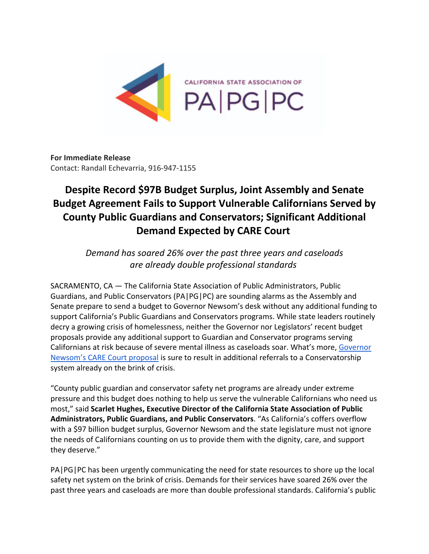

**For Immediate Release** Contact: Randall Echevarria, 916-947-1155

## **Despite Record \$97B Budget Surplus, Joint Assembly and Senate Budget Agreement Fails to Support Vulnerable Californians Served by County Public Guardians and Conservators; Significant Additional Demand Expected by CARE Court**

*Demand has soared 26% over the past three years and caseloads are already double professional standards*

SACRAMENTO, CA *—* The California State Association of Public Administrators, Public Guardians, and Public Conservators (PA|PG|PC) are sounding alarms as the Assembly and Senate prepare to send a budget to Governor Newsom's desk without any additional funding to support California's Public Guardians and Conservators programs. While state leaders routinely decry a growing crisis of homelessness, neither the Governor nor Legislators' recent budget proposals provide any additional support to Guardian and Conservator programs serving Californians at risk because of severe mental illness as caseloads soar. What's more, Governor Newsom's CARE Court proposal is sure to result in additional referrals to a Conservatorship system already on the brink of crisis.

"County public guardian and conservator safety net programs are already under extreme pressure and this budget does nothing to help us serve the vulnerable Californians who need us most," said **Scarlet Hughes, Executive Director of the California State Association of Public Administrators, Public Guardians, and Public Conservators**. "As California's coffers overflow with a \$97 billion budget surplus, Governor Newsom and the state legislature must not ignore the needs of Californians counting on us to provide them with the dignity, care, and support they deserve."

PA|PG|PC has been urgently communicating the need for state resources to shore up the local safety net system on the brink of crisis. Demands for their services have soared 26% over the past three years and caseloads are more than double professional standards. California's public